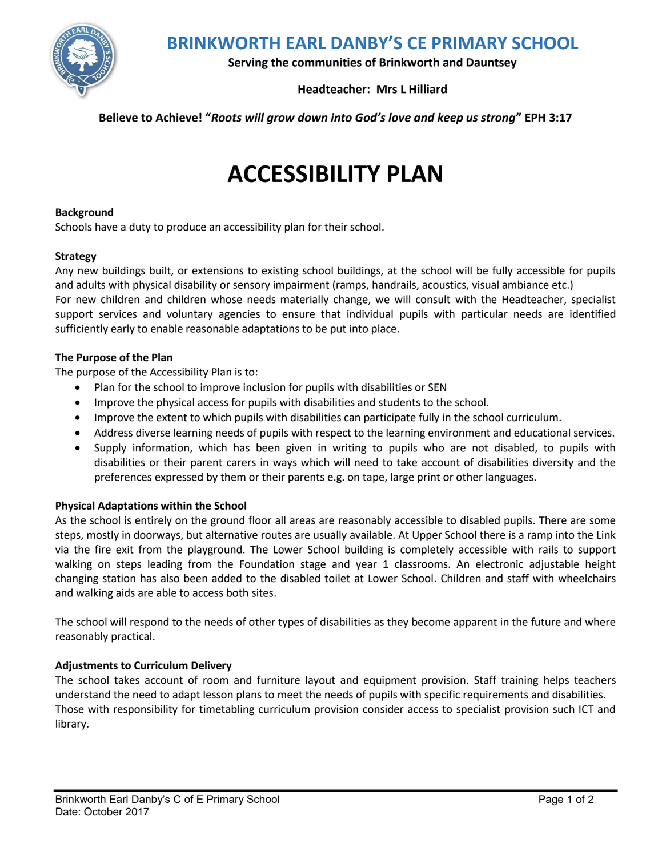

**BRINKWORTH EARL DANBY'S CE PRIMARY SCHOOL**

**Serving the communities of Brinkworth and Dauntsey**

# **Headteacher: Mrs L Hilliard**

**Believe to Achieve! "***Roots will grow down into God's love and keep us strong***" EPH 3:17**

# **ACCESSIBILITY PLAN**

#### **Background**

Schools have a duty to produce an accessibility plan for their school.

#### **Strategy**

Any new buildings built, or extensions to existing school buildings, at the school will be fully accessible for pupils and adults with physical disability or sensory impairment (ramps, handrails, acoustics, visual ambiance etc.)

For new children and children whose needs materially change, we will consult with the Headteacher, specialist support services and voluntary agencies to ensure that individual pupils with particular needs are identified sufficiently early to enable reasonable adaptations to be put into place.

#### **The Purpose of the Plan**

The purpose of the Accessibility Plan is to:

- Plan for the school to improve inclusion for pupils with disabilities or SEN
- Improve the physical access for pupils with disabilities and students to the school.
- Improve the extent to which pupils with disabilities can participate fully in the school curriculum.
- Address diverse learning needs of pupils with respect to the learning environment and educational services.
- Supply information, which has been given in writing to pupils who are not disabled, to pupils with disabilities or their parent carers in ways which will need to take account of disabilities diversity and the preferences expressed by them or their parents e.g. on tape, large print or other languages.

## **Physical Adaptations within the School**

As the school is entirely on the ground floor all areas are reasonably accessible to disabled pupils. There are some steps, mostly in doorways, but alternative routes are usually available. At Upper School there is a ramp into the Link via the fire exit from the playground. The Lower School building is completely accessible with rails to support walking on steps leading from the Foundation stage and year 1 classrooms. An electronic adjustable height changing station has also been added to the disabled toilet at Lower School. Children and staff with wheelchairs and walking aids are able to access both sites.

The school will respond to the needs of other types of disabilities as they become apparent in the future and where reasonably practical.

#### **Adjustments to Curriculum Delivery**

The school takes account of room and furniture layout and equipment provision. Staff training helps teachers understand the need to adapt lesson plans to meet the needs of pupils with specific requirements and disabilities. Those with responsibility for timetabling curriculum provision consider access to specialist provision such ICT and library.